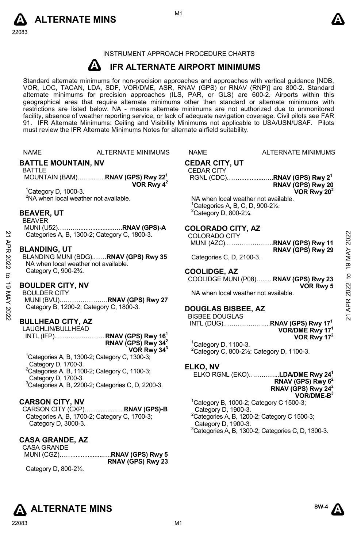



### INSTRUMENT APPROACH PROCEDURE CHARTS

### **A IFR ALTERNATE AIRPORT MINIMUMS**

Standard alternate minimums for non-precision approaches and approaches with vertical guidance [NDB,<br>VOR, LOC, TACAN, LDA, SDF, VOR/DME, ASR, RNAV (GPS) or RNAV (RNP)] are 800-2. Standard<br>alternate minimums for precision a geographical area that require alternate minimums other than standard or alternate minimums with restrictions are listed below. NA - means alternate minimums are not authorized due to unmonitored facility, absence of weather reporting service, or lack of adequate navigation coverage. Civil pilots see FAR 91. IFR Alternate Minimums: Ceiling and Visibility Minimums not applicable to USA/USN/USAF. Pilots must review the IFR Alternate Minimums Notes for alternate airfield suitability.

NAME ALTERNATE MINIMUMS NAME ALTERNATE MINIMUMS

### **BATTLE MOUNTAIN, NV**

### BATTLE

 MOUNTAIN (BAM)……....….**RNAV (GPS) Rwy 221 VOR Rwy 42** 

1 Category D, 1000-3. <sup>2</sup>NA when local weather not available.

### **BEAVER, UT**

BEAVER MUNI (U52)………......................….**RNAV (GPS)-A**

Categories A, B, 1300-2; Category C, 1800-3.

### **BLANDING, UT**

### **BOULDER CITY, NV**

### **BULLHEAD CITY, AZ**

LAUGHLIN/BULLHEAD INTL (IFP)..………………… . **RNAV (GPS) Rwy 161 RNAV (GPS) Rwy 342 VOR Rwy 343**

1 Categories A, B, 1300-2; Category C, 1300-3; Category D, 1700-3.  ${}^{2}$ Categories A, B, 1100-2; Category C, 1100-3; Category D, 1700-3. 3 Categories A, B, 2200-2; Categories C, D, 2200-3.

# **CARSON CITY, NV**

CARSON CITY (CXP)……...........….**RNAV (GPS)-B**  Categories A, B, 1700-2; Category C, 1700-3; Category D, 3000-3.

# **CASA GRANDE, AZ**

CASA GRANDE

 MUNI (CGZ)……..................….**RNAV (GPS) Rwy 5 RNAV (GPS) Rwy 23** 

Category D, 800-2½.

# **CEDAR CITY, UT**

# CEDAR CITY

 RGNL (CDC)……...............….**RNAV (GPS) Rwy 21 RNAV (GPS) Rwy 20 VOR Rwy 202** 

NA when local weather not available. 1 Categories A, B, C, D, 900-2½.  $2$ Category D, 800-2 $\frac{1}{4}$ .

### **COLORADO CITY, AZ**

| 2    | Categories A, B, 1300-2; Category C, 1800-3.    | <b>COLORADO CITY</b>                 | 2022         |
|------|-------------------------------------------------|--------------------------------------|--------------|
|      |                                                 | MUNI (AZC)RNAV (GPS) Rwy 11          |              |
| 쥿    | <b>BLANDING, UT</b>                             | RNAV (GPS) Rwy 29                    | ≿            |
|      | BLANDING MUNI (BDG)RNAV (GPS) Rwy 35            | Categories C, D, 2100-3.             |              |
| 2022 | NA when local weather not available.            |                                      | ග            |
|      | Category C, 900-2 <sup>3</sup> / <sub>4</sub> . | <b>COOLIDGE, AZ</b>                  |              |
| ನ    |                                                 | COOLIDGE MUNI (P08)RNAV (GPS) Rwy 23 | $\mathbf{c}$ |
| ಹ    | <b>BOULDER CITY, NV</b>                         | <b>VOR Rwy 5</b>                     | 2022         |
|      | <b>BOULDER CITY</b>                             | NA when local weather not available. |              |
| X    | MUNI (BVU)RNAV (GPS) Rwy 27                     |                                      | ≃            |
|      | Category B, 1200-2; Category C, 1800-3.         | <b>DOUGLAS BISBEE, AZ</b>            |              |
| 202  |                                                 | <b>BISBEE DOUGLAS</b>                |              |
|      | <b>DUU LUFAD AITV AT</b>                        |                                      | ಸ            |

# **COOLIDGE, AZ**

### **DOUGLAS BISBEE, AZ**

 INTL (DUG).………………....**RNAV (GPS) Rwy 171 VOR/DME Rwy 171 VOR Rwy 172** 

<sup>1</sup> Category D, 1100-3.  $2$ Category C, 800-2 $\frac{1}{2}$ ; Category D, 1100-3.

# **ELKO, NV**

ELKO RGNL (EKO)…………...**LDA/DME Rwy 241**

### **RNAV (GPS) Rwy 62 RNAV (GPS) Rwy 242**

**VOR/DME-B3**   $1$ Category B, 1000-2; Category C 1500-3; Category D, 1900-3.  ${}^{2}$ Categories A, B, 1200-2; Category C 1500-3; Category D, 1900-3. 3 Categories A, B, 1300-2; Categories C, D, 1300-3.

**ALTERNATE MINS**  $\sum_{n=1}^{\infty}$ 

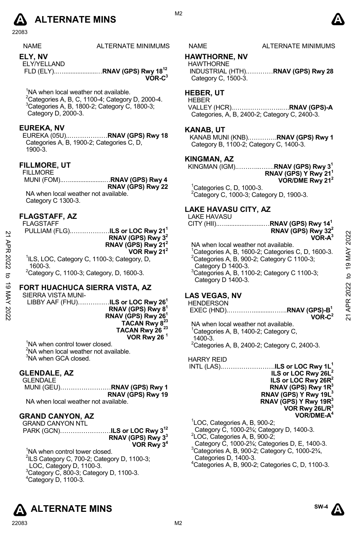

22083

| <b>NAME</b> | ALTERNATE MINIMUMS |
|-------------|--------------------|
|             |                    |

**ELY, NV**  ELY/YELLAND

 FLD (ELY)..…...................…**RNAV (GPS) Rwy 1812 VOR-C3** 

<sup>1</sup>NA when local weather not available.

 $^{2}$ Categories A, B, C, 1100-4; Category D, 2000-4.  $3$ Categories A, B, 1800-2; Category C, 1800-3; Category D, 2000-3.

### **EUREKA, NV**

EUREKA (05U)..………………**RNAV (GPS) Rwy 18**  Categories A, B, 1900-2; Categories C, D, 1900-3.

### **FILLMORE, UT**

FILLMORE MUNI (FOM)..…....................…**RNAV (GPS) Rwy 4 RNAV (GPS) Rwy 22** NA when local weather not available. Category C 1300-3.

### **FLAGSTAFF, AZ**

FLAGSTAFF

|                                                         | PULLIAM (FLG) <b>ILS or LOC Rwy 21<sup>1</sup></b> |
|---------------------------------------------------------|----------------------------------------------------|
|                                                         | RNAV (GPS) Rwy $32$                                |
|                                                         | RNAV (GPS) Rwy 21 <sup>2</sup>                     |
|                                                         | VOR Rwy 21 <sup>2</sup>                            |
| <sup>1</sup> ILS, LOC, Category C, 1100-3; Category, D, |                                                    |
| 1600-3.                                                 |                                                    |
| $201$ $210222$                                          |                                                    |

 $2$ Category C, 1100-3; Category, D, 1600-3.

# **FORT HUACHUCA SIERRA VISTA, AZ**

SIERRA VISTA MUNI-LIBBY AAF (FHU)……………**ILS or LOC Rwy 261 RNAV (GPS) Rwy 81 RNAV (GPS) Rwy 261 TACAN Rwy 823 TACAN Rwy 26 23 VOR Rwy 26 1** 

<sup>1</sup>NA when control tower closed. <sup>2</sup>NA when local weather not available. <sup>3</sup>NA when GCA closed.

### **GLENDALE, AZ**

| GLENDALE                            |                   |
|-------------------------------------|-------------------|
|                                     |                   |
|                                     | RNAV (GPS) Rwy 19 |
| MA whon local woother not quoilehle |                   |

# NA when local weather not available.

# **GRAND CANYON, AZ**

GRAND CANYON NTL PARK (GCN)……………………**ILS or LOC Rwy 312 RNAV (GPS) Rwy 33 VOR Rwy 34** 

<sup>1</sup>NA when control tower closed.  $2$ ILS Category C, 700-2; Category D, 1100-3; LOC, Category D, 1100-3.  $3$ Category C, 800-3; Category D, 1100-3. 4 Category D, 1100-3.



### NAME ALTERNATE MINIMUMS

## **HAWTHORNE, NV**

HAWTHORNE INDUSTRIAL (HTH).…………**RNAV (GPS) Rwy 28**  Category C, 1500-3.

# **HEBER, UT**

HEBER VALLEY (HCR).…………………..….**RNAV (GPS)-A**  Categories, A, B, 2400-2; Category C, 2400-3.

### **KANAB, UT**

KANAB MUNI (KNB).………….**RNAV (GPS) Rwy 1**  Category B, 1100-2; Category C, 1400-3.

### **KINGMAN, AZ**

KINGMAN (IGM).………..…….**RNAV (GPS) Rwy 31 RNAV (GPS) Y Rwy 211 VOR/DME Rwy 212** 

 $1$ Categories C, D, 1000-3. 2 Category C, 1000-3; Category D, 1900-3.

### **LAKE HAVASU CITY, AZ**

LAKE HAVASU

CITY (HII)..…......................…**RNAV (GPS) Rwy 141 RNAV (GPS) Rwy 322 VOR-A3** 

NA when local weather not available. <sup>1</sup>Categories A, B, 1600-2; Categories C, D, 1600-3.  $2^2$ Categories A, B, 900-2; Category C 1100-3; Category D 1400-3. 3 Categories A, B, 1100-2; Category C 1100-3; Category D 1400-3. 21 APR 2022 to 19 MAY 202221 APR 2022 to 19 MAY 2022

# **LAS VEGAS, NV**

**HENDERSON** 

 EXEC (HND).…………...........…….**RNAV (GPS)-B1 VOR-C2**

NA when local weather not available. <sup>1</sup>Categories A, B, 1400-2; Category C, 1400-3.  $2$ Categories A, B, 2400-2; Category C, 2400-3.

HARRY REID

INTL (LAS).…………………….**ILS or LOC Rwy 1L1 ILS or LOC Rwy 26L2 ILS or LOC Rwy 26R2 RNAV (GPS) Rwy 1R3 RNAV (GPS) Y Rwy 19L3 RNAV (GPS) Y Rwy 19R3 VOR Rwy 26L/R3 VOR/DME-A4** 

1 LOC, Categories A, B, 900-2;

Category C, 1000-2¾; Category D, 1400-3. 2

LOC, Categories A, B, 900-2;

Category C, 1000-2¾; Categories D, E, 1400-3.

3 Categories A, B, 900-2; Category C, 1000-2¾,

Categories D, 1400-3.

4 Categories A, B, 900-2; Categories C, D, 1100-3.

**SW-4**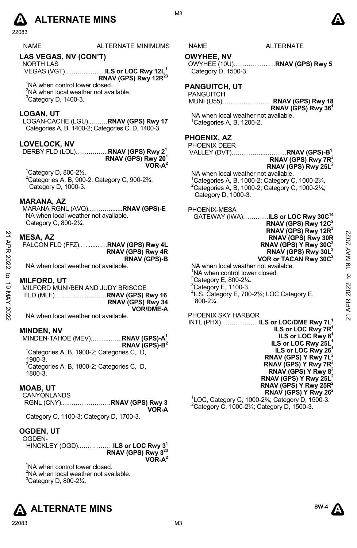# **A** ALTERNATE MINS  $\bullet$

22083

| <b>NAME</b> | <b>ALTERNATE MINIMUMS</b> | NAME | <b>ALTERNATE</b> |
|-------------|---------------------------|------|------------------|
|             |                           |      |                  |
|             |                           |      |                  |

# **LAS VEGAS, NV (CON'T)**

NORTH LAS VEGAS (VGT)……….....……**ILS or LOC Rwy 12L1 RNAV (GPS) Rwy 12R23** 

<sup>1</sup>NA when control tower closed. <sup>2</sup>NA when local weather not available.  ${}^{3}$ Category D, 1400-3.

## **LOGAN, UT**

LOGAN-CACHE (LGU).…...…**RNAV (GPS) Rwy 17**  Categories A, B, 1400-2; Categories C, D, 1400-3.

# **LOVELOCK, NV**

DERBY FLD (LOL)……….…...**RNAV (GPS) Rwy 21 RNAV (GPS) Rwy 201 VOR-A2** 

1 Category D, 800-2½.  ${}^{2}$ Categories A, B, 900-2; Category C, 900-2 $\frac{3}{4}$ ; Category D, 1000-3.

# **MARANA, AZ**

MARANA RGNL (AVQ).………........**RNAV (GPS)-E**  NA when local weather not available. Category C, 800-2¼.

## **MESA, AZ**

| FALCON FLD (FFZ) RNAV (GPS) Rwy 4L |                     |
|------------------------------------|---------------------|
|                                    | RNAV (GPS) Rwy 4R   |
|                                    | <b>RNAV (GPS)-B</b> |

NA when local weather not available.

### **MILFORD, UT**

MILFORD MUNI/BEN AND JUDY BRISCOE FLD (MLF)..….....................…**RNAV (GPS) Rwy 16 RNAV (GPS) Rwy 34 VOR/DME-A** 

NA when local weather not available.

### **MINDEN, NV**

MINDEN-TAHOE (MEV).……....…..**RNAV (GPS)-A1 RNAV (GPS)-B2**  <sup>1</sup>Categories A, B, 1900-2; Categories C, D, 1900-3.  ${}^{2}$ Categories A, B, 1800-2; Categories C, D, 1800-3.

### **MOAB, UT**

CANYONLANDS RGNL (CNY).……………….….**RNAV (GPS) Rwy 3 VOR-A** 

Category C, 1100-3; Category D, 1700-3.

# **OGDEN, UT**

OGDEN-

HINCKLEY (OGD)..……………**ILS or LOC Rwy 31 RNAV (GPS) Rwy 3 VOR-A2** 

<sup>1</sup>NA when control tower closed. <sup>2</sup>NA when local weather not available.  $3$ Category D, 800-2 $\frac{1}{4}$ .





OWYHEE (10U)……………..…**RNAV (GPS) Rwy 5**

MUNI (U55)……………………**RNAV (GPS) Rwy 18** 

NA when local weather not available. 1 Categories A, B, 1200-2.

> **RNAV (GPS) Y Rwy 7R2 RNAV (GPS) Y Rwy 82 RNAV (GPS) Y Rwy 25L2 RNAV (GPS) Y Rwy 25R2**

**RNAV (GPS) Y Rwy 262** <sup>1</sup> LOC, Category C, 1000-2¾; Category D, 1500-3.

 $2^2$ Category C, 1000-2 $\frac{3}{4}$ ; Category D, 1500-3.





**RNAV (GPS) Rwy 361**

M3

**OWYHEE, NV** 

**PHOENIX, AZ** 

Category D, 1500-3. **PANGUITCH, UT**  PANGUITCH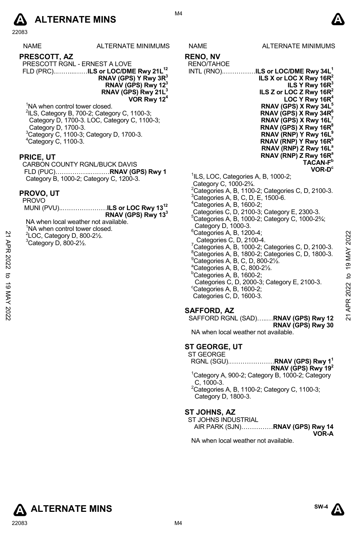

22083

| <b>NAME</b> | <b>ALTERNATE MINIMUMS</b> |
|-------------|---------------------------|
|             |                           |

**PRESCOTT, AZ**  PRESCOTT RGNL - ERNEST A LOVE

FLD (PRC)..……...……**ILS or LOC/DME Rwy 21L12 RNAV (GPS) Y Rwy 3R3 RNAV (GPS) Rwy 123 RNAV (GPS) Rwy 21L3** 

 **VOR Rwy 124**

<sup>1</sup>NA when control tower closed. 2 ILS, Category B, 700-2; Category C, 1100-3; Category D, 1700-3. LOC, Category C, 1100-3; Category D, 1700-3. 3 Category C, 1100-3; Category D, 1700-3. 4 Category C, 1100-3.

# **PRICE, UT**

CARBON COUNTY RGNL/BUCK DAVIS FLD (PUC)……………..………**RNAV (GPS) Rwy 1** Category B, 1000-2; Category C, 1200-3.

## **PROVO, UT**

| <b>PROVO</b> |                                           |
|--------------|-------------------------------------------|
|              | MUNI (PVU)ILS or LOC Rwy 13 <sup>12</sup> |
|              | RNAV (GPS) Rwy 13 <sup>3</sup>            |

NA when local weather not available. <sup>1</sup>NA when control tower closed.

- 2 LOC, Category D, 800-2½.
- $3$ Category D, 800-2 $\frac{1}{2}$ .



**RENO, NV** 

RENO/TAHOE INTL (RNO).……………**ILS or LOC/DME Rwy 34L1 ILS X or LOC X Rwy 16R2 ILS Y Rwy 16R3 ILS Z or LOC Z Rwy 16R**<sup>2</sup> LOC Y Rwy 16R **RNAV (GPS) X Rwy 34L5 RNAV (GPS) X Rwy 34R6 RNAV (GPS) X Rwy 16L7 RNAV (GPS) X Rwy 16R8 RNAV (RNP) Y Rwy 16L9 RNAV (RNP) Y Rwy 16R9 RNAV (RNP) Z Rwy 16La RNAV (RNP) Z Rwy 16Ra TACAN-Fb VOR-Dc** <sup>1</sup>ILS, LOC, Categories A, B, 1000-2;

- Category C, 1000-2¾.
- $^{2}$ Categories A, B, 1100-2; Categories C, D, 2100-3.
- ${}^{3}$ Categories A, B, C, D, E, 1500-6.
- $4$ Categories A, B, 1600-2;
- Categories C, D, 2100-3; Category E, 2300-3.
- $5$ Categories A, B, 1000-2; Category C, 1000-2 $\frac{3}{4}$ ; Category D, 1000-3.
- $6$ Categories A, B, 1200-4; Categories C, D, 2100-4.  $\frac{7}{6}$ Categories A, B, 1000-2; Categories C, D, 2100-3.  ${}^{8}$ Categories A, B, 1800-2; Categories C, D, 1800-3.  $^{9}$ Categories A, B, C, D, 800-2 $\frac{1}{2}$ . a Categories A, B, C, 800-2½. 21 OC, Category D, 800-21/2.<br>
<sup>21</sup> Category D, 800-21/2.<br>
<sup>22</sup> Categories C, D, 2100-4.<br>
<sup>2</sup> Categories A, B, 1000-2; Categories C, D, 2100-3.<br>
<sup>2</sup> Categories A, B, 1000-2; Categories C, D, 1800-3.<br>
<sup>2</sup> Categories A, B, 1
	- $b$ Categories A, B, 1600-2;
		- Categories C, D, 2000-3; Category E, 2100-3.
	- $\mathrm{^c}$ Categories A, B, 1600-2; Categories C, D, 1600-3.

# **SAFFORD, AZ**

SAFFORD RGNL (SAD)…..…**RNAV (GPS) Rwy 12 RNAV (GPS) Rwy 30** 

NA when local weather not available.

# **ST GEORGE, UT**

ST GEORGE RGNL (SGU).…………………**RNAV (GPS) Rwy 11 RNAV (GPS) Rwy 192** <sup>1</sup>Category A, 900-2; Category B, 1000-2; Category C, 1000-3. 2 Categories A, B, 1100-2; Category C, 1100-3;

Category D, 1800-3.

# **ST JOHNS, AZ**

|                                         |  |  |  | ST JOHNS INDUSTRIAL |
|-----------------------------------------|--|--|--|---------------------|
| AIR PARK (SJN) <b>RNAV (GPS) Rwy 14</b> |  |  |  |                     |
| VOR-A                                   |  |  |  | .                   |

NA when local weather not available.